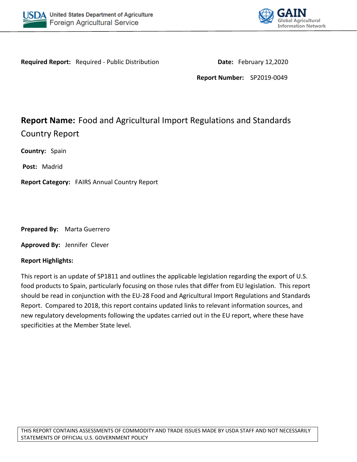



**Required Report:** Required - Public Distribution **Date:** February 12,2020

**Report Number:** SP2019-0049

# **Report Name:** Food and Agricultural Import Regulations and Standards Country Report

**Country:** Spain

**Post:** Madrid

**Report Category:** FAIRS Annual Country Report

**Prepared By:** Marta Guerrero

**Approved By:** Jennifer Clever

#### **Report Highlights:**

This report is an update of SP1811 and outlines the applicable legislation regarding the export of U.S. food products to Spain, particularly focusing on those rules that differ from EU legislation. This report should be read in conjunction with the EU-28 Food and Agricultural Import Regulations and Standards Report. Compared to 2018, this report contains updated links to relevant information sources, and new regulatory developments following the updates carried out in the EU report, where these have specificities at the Member State level.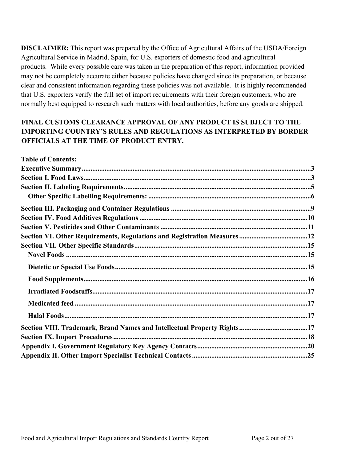**DISCLAIMER:** This report was prepared by the Office of Agricultural Affairs of the USDA/Foreign Agricultural Service in Madrid, Spain, for U.S. exporters of domestic food and agricultural products. While every possible care was taken in the preparation of this report, information provided may not be completely accurate either because policies have changed since its preparation, or because clear and consistent information regarding these policies was not available. It is highly recommended that U.S. exporters verify the full set of import requirements with their foreign customers, who are normally best equipped to research such matters with local authorities, before any goods are shipped.

# **FINAL CUSTOMS CLEARANCE APPROVAL OF ANY PRODUCT IS SUBJECT TO THE IMPORTING COUNTRY'S RULES AND REGULATIONS AS INTERPRETED BY BORDER OFFICIALS AT THE TIME OF PRODUCT ENTRY.**

| <b>Table of Contents:</b>                                               |  |
|-------------------------------------------------------------------------|--|
|                                                                         |  |
|                                                                         |  |
|                                                                         |  |
|                                                                         |  |
|                                                                         |  |
|                                                                         |  |
|                                                                         |  |
|                                                                         |  |
|                                                                         |  |
|                                                                         |  |
|                                                                         |  |
|                                                                         |  |
|                                                                         |  |
|                                                                         |  |
|                                                                         |  |
| Section VIII. Trademark, Brand Names and Intellectual Property Rights17 |  |
|                                                                         |  |
|                                                                         |  |
|                                                                         |  |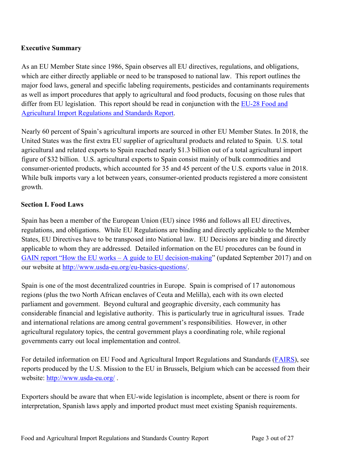# <span id="page-2-0"></span>**Executive Summary**

As an EU Member State since 1986, Spain observes all EU directives, regulations, and obligations, which are either directly appliable or need to be transposed to national law. This report outlines the major food laws, general and specific labeling requirements, pesticides and contaminants requirements as well as import procedures that apply to agricultural and food products, focusing on those rules that differ from EU legislation. This report should be read in conjunction with the EU-28 Food and [Agricultural Import Regulations and Standards Report.](https://apps.fas.usda.gov/newgainapi/api/report/downloadreportbyfilename?filename=Food%20and%20Agricultural%20Import%20Regulations%20and%20Standards%20Report_Brussels%20USEU_EU-28_2-12-2019.pdf)

Nearly 60 percent of Spain's agricultural imports are sourced in other EU Member States. In 2018, the United States was the first extra EU supplier of agricultural products and related to Spain. U.S. total agricultural and related exports to Spain reached nearly \$1.3 billion out of a total agricultural import figure of \$32 billion. U.S. agricultural exports to Spain consist mainly of bulk commodities and consumer-oriented products, which accounted for 35 and 45 percent of the U.S. exports value in 2018. While bulk imports vary a lot between years, consumer-oriented products registered a more consistent growth.

## <span id="page-2-1"></span>**Section I. Food Laws**

Spain has been a member of the European Union (EU) since 1986 and follows all EU directives, regulations, and obligations. While EU Regulations are binding and directly applicable to the Member States, EU Directives have to be transposed into National law. EU Decisions are binding and directly applicable to whom they are addressed. Detailed information on the EU procedures can be found in [GAIN report "How the EU works – A guide to EU decision-making"](https://gain.fas.usda.gov/Recent%20GAIN%20Publications/How%20the%20European%20Union%20Works%20-%202017%20Guide%20to%20EU%20Decision-Making_Brussels%20USEU_EU-28_9-13-2017.pdf) (updated September 2017) and on our website at [http://www.usda-eu.org/eu-basics-questions/.](http://www.usda-eu.org/eu-basics-questions/)

Spain is one of the most decentralized countries in Europe. Spain is comprised of 17 autonomous regions (plus the two North African enclaves of Ceuta and Melilla), each with its own elected parliament and government. Beyond cultural and geographic diversity, each community has considerable financial and legislative authority. This is particularly true in agricultural issues. Trade and international relations are among central government's responsibilities. However, in other agricultural regulatory topics, the central government plays a coordinating role, while regional governments carry out local implementation and control.

For detailed information on EU Food and Agricultural Import Regulations and Standards [\(FAIRS](http://gain.fas.usda.gov/Recent%20GAIN%20Publications/Food%20and%20Agricultural%20Import%20Regulations%20and%20Standards%20-%20Narrative_Brussels%20USEU_EU-28_12-7-2017.pdf)), see reports produced by the U.S. Mission to the EU in Brussels, Belgium which can be accessed from their website: <http://www.usda-eu.org/> .

Exporters should be aware that when EU-wide legislation is incomplete, absent or there is room for interpretation, Spanish laws apply and imported product must meet existing Spanish requirements.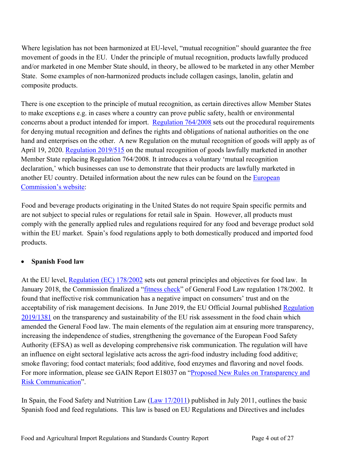Where legislation has not been harmonized at EU-level, "mutual recognition" should guarantee the free movement of goods in the EU. Under the principle of mutual recognition, products lawfully produced and/or marketed in one Member State should, in theory, be allowed to be marketed in any other Member State. Some examples of non-harmonized products include collagen casings, lanolin, gelatin and composite products.

There is one exception to the principle of mutual recognition, as certain directives allow Member States to make exceptions e.g. in cases where a country can prove public safety, health or environmental concerns about a product intended for import. [Regulation 764/2008](https://eur-lex.europa.eu/legal-content/EN/TXT/?uri=CELEX:32008R0764) sets out the procedural requirements for denying mutual recognition and defines the rights and obligations of national authorities on the one hand and enterprises on the other. A new Regulation on the mutual recognition of goods will apply as of April 19, 2020. [Regulation 2019/515](https://eur-lex.europa.eu/legal-content/EN/TXT/?uri=uriserv:OJ.L_.2019.091.01.0001.01.ENG&toc=OJ:L:2019:091:TOC) on the mutual recognition of goods lawfully marketed in another Member State replacing Regulation 764/2008. It introduces a voluntary 'mutual recognition declaration,' which businesses can use to demonstrate that their products are lawfully marketed in another EU country. Detailed information about the new rules can be found on the [European](https://ec.europa.eu/growth/single-market/goods/free-movement-sectors/mutual-recognition_en)  [Commission's website:](https://ec.europa.eu/growth/single-market/goods/free-movement-sectors/mutual-recognition_en)

Food and beverage products originating in the United States do not require Spain specific permits and are not subject to special rules or regulations for retail sale in Spain. However, all products must comply with the generally applied rules and regulations required for any food and beverage product sold within the EU market. Spain's food regulations apply to both domestically produced and imported food products.

# **Spanish Food law**

At the EU level, [Regulation \(EC\) 178/2002](http://eur-lex.europa.eu/legal-content/EN/TXT/PDF/?uri=CELEX:32002R0178&from=EN) sets out general principles and objectives for food law. In January 2018, the Commission finalized a ["fitness check](https://ec.europa.eu/food/sites/food/files/gfl_fitc_executive_summary_2018_en.pdf)" of General Food Law regulation 178/2002. It found that ineffective risk communication has a negative impact on consumers' trust and on the acceptability of risk management decisions. In June 2019, the EU Official Journal published Regulation [2019/1381](https://eur-lex.europa.eu/legal-content/EN/TXT/?uri=uriserv:OJ.L_.2019.231.01.0001.01.ENG&toc=OJ:L:2019:231:TOC) on the transparency and sustainability of the EU risk assessment in the food chain which amended the General Food law. The main elements of the regulation aim at ensuring more transparency, increasing the independence of studies, strengthening the governance of the European Food Safety Authority (EFSA) as well as developing comprehensive risk communication. The regulation will have an influence on eight sectoral legislative acts across the agri-food industry including food additive; smoke flavoring; food contact materials; food additive, food enzymes and flavoring and novel foods. For more information, please see GAIN Report E18037 on "Proposed New Rules on Transparency and [Risk Communication](https://apps.fas.usda.gov/newgainapi/api/Report/DownloadReportByFileName?fileName=Proposed%20New%20Rules%20on%20Transparency%20and%20Risk%20Communication_Brussels%20USEU_EU-28_6-5-2018)".

In Spain, the Food Safety and Nutrition Law ([Law 17/2011](http://www.boe.es/boe/dias/2011/07/06/pdfs/BOE-A-2011-11604.pdf)) published in July 2011, outlines the basic Spanish food and feed regulations. This law is based on EU Regulations and Directives and includes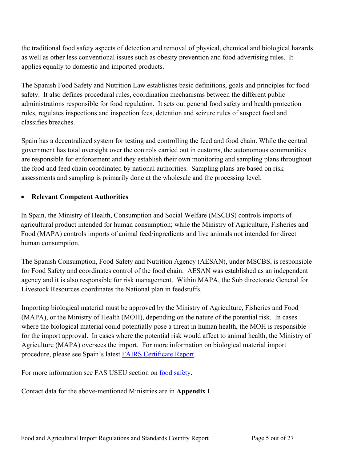the traditional food safety aspects of detection and removal of physical, chemical and biological hazards as well as other less conventional issues such as obesity prevention and food advertising rules. It applies equally to domestic and imported products.

The Spanish Food Safety and Nutrition Law establishes basic definitions, goals and principles for food safety. It also defines procedural rules, coordination mechanisms between the different public administrations responsible for food regulation. It sets out general food safety and health protection rules, regulates inspections and inspection fees, detention and seizure rules of suspect food and classifies breaches.

Spain has a decentralized system for testing and controlling the feed and food chain. While the central government has total oversight over the controls carried out in customs, the autonomous communities are responsible for enforcement and they establish their own monitoring and sampling plans throughout the food and feed chain coordinated by national authorities. Sampling plans are based on risk assessments and sampling is primarily done at the wholesale and the processing level.

### **Relevant Competent Authorities**

In Spain, the Ministry of Health, Consumption and Social Welfare (MSCBS) controls imports of agricultural product intended for human consumption; while the Ministry of Agriculture, Fisheries and Food (MAPA) controls imports of animal feed/ingredients and live animals not intended for direct human consumption.

The Spanish Consumption, Food Safety and Nutrition Agency (AESAN), under MSCBS, is responsible for Food Safety and coordinates control of the food chain. AESAN was established as an independent agency and it is also responsible for risk management. Within MAPA, the Sub directorate General for Livestock Resources coordinates the National plan in feedstuffs.

Importing biological material must be approved by the Ministry of Agriculture, Fisheries and Food (MAPA), or the Ministry of Health (MOH), depending on the nature of the potential risk. In cases where the biological material could potentially pose a threat in human health, the MOH is responsible for the import approval. In cases where the potential risk would affect to animal health, the Ministry of Agriculture (MAPA) oversees the import. For more information on biological material import procedure, please see Spain's latest [FAIRS Certificate Report.](https://gain.fas.usda.gov/Pages/Default.aspx)

For more information see FAS USEU section on [food safety](http://www.usda-eu.org/topics/food-safety/).

<span id="page-4-0"></span>Contact data for the above-mentioned Ministries are in **Appendix I**.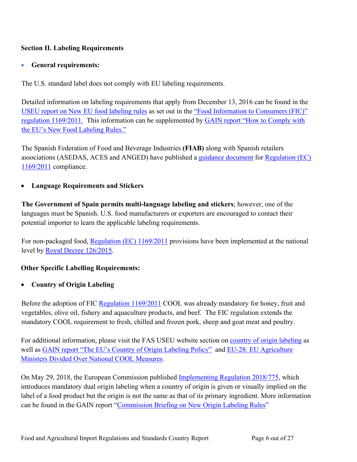# **Section II. Labeling Requirements**

## **General requirements:**

The U.S. standard label does not comply with EU labeling requirements.

Detailed information on labeling requirements that apply from December 13, 2016 can be found in the [USEU report on New EU food labeling rules](http://gain.fas.usda.gov/Recent%20GAIN%20Publications/NEW%20EU%20FOOD%20LABELING%20RULES%20PUBLISHED_Brussels%20USEU_EU-27_1-12-2012.pdf) as set out in the ["Food Information to Consumers \(FIC\)"](http://eur-lex.europa.eu/legal-content/EN/TXT/PDF/?uri=CELEX:02011R1169-20140219&rid=1)  [regulation 1169/2011.](http://eur-lex.europa.eu/legal-content/EN/TXT/PDF/?uri=CELEX:02011R1169-20140219&rid=1) This information can be supplemented by [GAIN report "How to Comply with](http://gain.fas.usda.gov/Recent%20GAIN%20Publications/How%20to%20Comply%20with%20the%20EU)  [the EU's New Food Labeling Rules."](http://gain.fas.usda.gov/Recent%20GAIN%20Publications/How%20to%20Comply%20with%20the%20EU) 

The Spanish Federation of Food and Beverage Industries **(FIAB)** along with Spanish retailers associations (ASEDAS, ACES and ANGED) have published a [guidance document](http://fiab.es/wp-content/uploads/2017/12/1.-GUI%CC%81A-FIAB-ACES-ASEDAS-ANGED-FIC.pdf) for [Regulation \(EC\)](http://eur-lex.europa.eu/legal-content/EN/TXT/PDF/?uri=CELEX:02011R1169-20140219&rid=1)  [1169/2011](http://eur-lex.europa.eu/legal-content/EN/TXT/PDF/?uri=CELEX:02011R1169-20140219&rid=1) compliance.

# **Language Requirements and Stickers**

**The Government of Spain permits multi-language labeling and stickers**; however, one of the languages must be Spanish. U.S. food manufacturers or exporters are encouraged to contact their potential importer to learn the applicable labeling requirements.

For non-packaged food, [Regulation \(EC\) 1169/2011](http://eur-lex.europa.eu/legal-content/EN/TXT/PDF/?uri=CELEX:02011R1169-20140219&rid=1) provisions have been implemented at the national level by [Royal Decree 126/2015](https://www.boe.es/buscar/pdf/2015/BOE-A-2015-2293-consolidado.pdf).

# <span id="page-5-0"></span>**Other Specific Labelling Requirements:**

### **Country of Origin Labeling**

Before the adoption of FIC [Regulation 1169/2011](http://eur-lex.europa.eu/LexUriServ/LexUriServ.do?uri=OJ:L:2011:304:0018:0063:EN:PDF) COOL was already mandatory for honey, fruit and vegetables, olive oil, fishery and aquaculture products, and beef. The FIC regulation extends the mandatory COOL requirement to fresh, chilled and frozen pork, sheep and goat meat and poultry.

For additional information, please visit the FAS USEU website section on [country of origin labeling](http://www.usda-eu.org/trade-with-the-eu/eu-import-rules/eu-labeling-requirements/country-of-origin-labeling/) as well as [GAIN report "The EU's Country of Origin Labeling Policy"](http://gain.fas.usda.gov/Recent%20GAIN%20Publications/The%20EU) and EU-28: EU Agriculture [Ministers Divided Over National COOL Measures.](https://gain.fas.usda.gov/Recent%20GAIN%20Publications/EU%20Agriculture%20Ministers%20Divided%20over%20National%20COOL%20Measures_Brussels%20USEU_EU-28_7-20-2017.pdf)

On May 29, 2018, the European Commission published *Implementing Regulation 2018/775*, which introduces mandatory dual origin labeling when a country of origin is given or visually implied on the label of a food product but the origin is not the same as that of its primary ingredient. More information can be found in the GAIN report "[Commission Briefing on New Origin Labeling Rules"](https://gain.fas.usda.gov/Recent%20GAIN%20Publications/Commission%20Briefing%20on%20New%20Origin%20Labeling%20Rules_Brussels%20USEU_EU-28_7-3-2018.pdf)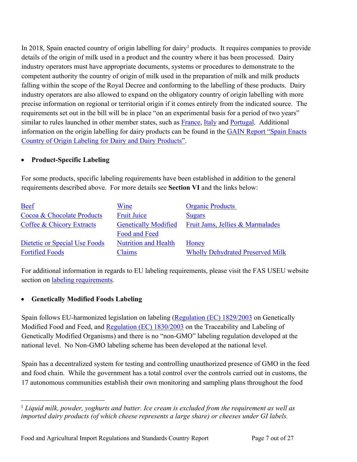In 2018, Spain enacted country of origin labelling for dairy<sup>1</sup> products. It requires companies to provide details of the origin of milk used in a product and the country where it has been processed. Dairy industry operators must have appropriate documents, systems or procedures to demonstrate to the competent authority the country of origin of milk used in the preparation of milk and milk products falling within the scope of the Royal Decree and conforming to the labelling of these products. Dairy industry operators are also allowed to expand on the obligatory country of origin labelling with more precise information on regional or territorial origin if it comes entirely from the indicated source. The requirements set out in the bill will be in place "on an experimental basis for a period of two years" similar to rules launched in other member states, such as [France,](https://www.legifrance.gouv.fr/affichTexte.do;jsessionid=FB718F62E4097B898AF1248CE3ECA151.tpdila08v_3?cidTexte=JORFTEXT000033053008&dateTexte=&oldAction=rechJO&categorieLien=id&idJO=JORFCONT000033052723) [Italy](http://www.gazzettaufficiale.it/atto/serie_generale/caricaDettaglioAtto/originario?atto.dataPubblicazioneGazzetta=2017-01-19&atto.codiceRedazionale=17A00291&elenco30giorni=false) and [Portugal.](https://dre.pt/application/conteudo/107495709) Additional information on the origin labelling for dairy products can be found in the GAIN Report "Spain Enacts [Country of Origin Labeling for Dairy and Dairy Products"](https://www.fas.usda.gov/data/spain-spain-enacts-country-origin-labeling-dairy-and-dairy-products).

## **Product-Specific Labeling**

For some products, specific labeling requirements have been established in addition to the general requirements described above. For more details see **Section VI** and the links below:

| <b>Beef</b>                   | Wine                        | <b>Organic Products</b>                 |
|-------------------------------|-----------------------------|-----------------------------------------|
| Cocoa & Chocolate Products    | <b>Fruit Juice</b>          | <b>Sugars</b>                           |
| Coffee & Chicory Extracts     | <b>Genetically Modified</b> | Fruit Jams, Jellies & Marmalades        |
|                               | Food and Feed               |                                         |
| Dietetic or Special Use Foods | <b>Nutrition and Health</b> | Honey                                   |
| <b>Fortified Foods</b>        | Claims                      | <b>Wholly Dehydrated Preserved Milk</b> |

For additional information in regards to EU labeling requirements, please visit the FAS USEU website section on [labeling requirements](https://www.usda-eu.org/trade-with-the-eu/eu-import-rules/eu-labeling-requirements/).

# **Genetically Modified Foods Labeling**

Spain follows EU-harmonized legislation on labeling [\(Regulation \(EC\) 1829/2003](http://eur-lex.europa.eu/legal-content/EN/TXT/PDF/?uri=CELEX:32003R1830&from=EN) on Genetically Modified Food and Feed, and [Regulation \(EC\) 1830/2003](http://eur-lex.europa.eu/legal-content/EN/TXT/PDF/?uri=CELEX:32003R1830&from=EN) on the Traceability and Labeling of Genetically Modified Organisms) and there is no "non-GMO" labeling regulation developed at the national level. No Non-GMO labeling scheme has been developed at the national level.

Spain has a decentralized system for testing and controlling unauthorized presence of GMO in the feed and food chain. While the government has a total control over the controls carried out in customs, the 17 autonomous communities establish their own monitoring and sampling plans throughout the food

<sup>1</sup> *Liquid milk, powder, yoghurts and butter. Ice cream is excluded from the requirement as well as imported dairy products (of which cheese represents a large share) or cheeses under GI labels.*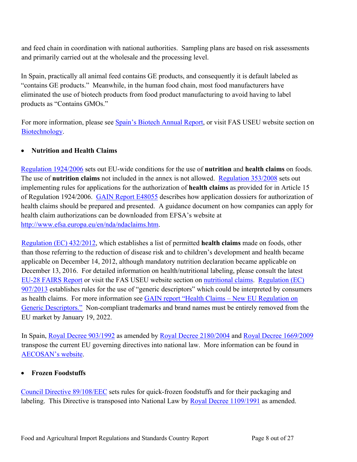and feed chain in coordination with national authorities. Sampling plans are based on risk assessments and primarily carried out at the wholesale and the processing level.

In Spain, practically all animal feed contains GE products, and consequently it is default labeled as "contains GE products." Meanwhile, in the human food chain, most food manufacturers have eliminated the use of biotech products from food product manufacturing to avoid having to label products as "Contains GMOs."

For more information, please see [Spain's Biotech Annual Report](http://gain.fas.usda.gov/Recent%20GAIN%20Publications/Agricultural%20Biotechnology%20Annual_Madrid_Spain_12-12-2017.pdf), or visit FAS USEU website section on [Biotechnology](http://www.usda-eu.org/trade-with-the-eu/eu-import-rules/agricultural-biotechnology/).

### **Nutrition and Health Claims**

[Regulation 1924/2006](http://eur-lex.europa.eu/LexUriServ/LexUriServ.do?uri=OJ:L:2007:012:0003:0018:EN:PDF) sets out EU-wide conditions for the use of **nutrition** and **health claims** on foods. The use of **nutrition claims** not included in the annex is not allowed. [Regulation 353/2008](http://eur-lex.europa.eu/LexUriServ/LexUriServ.do?uri=CONSLEG:2008R0353:20091221:EN:PDF) sets out implementing rules for applications for the authorization of **health claims** as provided for in Article 15 of Regulation 1924/2006. [GAIN Report E48055](http://www.fas.usda.gov/gainfiles/200805/146294691.pdf) describes how application dossiers for authorization of health claims should be prepared and presented. A guidance document on how companies can apply for health claim authorizations can be downloaded from EFSA's website at [http://www.efsa.europa.eu/en/nda/ndaclaims.htm.](http://www.efsa.europa.eu/en/nda/ndaclaims.htm)

[Regulation \(EC\) 432/2012](http://eur-lex.europa.eu/LexUriServ/LexUriServ.do?uri=OJ:L:2012:136:0001:0040:en:PDF), which establishes a list of permitted **health claims** made on foods, other than those referring to the reduction of disease risk and to children's development and health became applicable on December 14, 2012, although mandatory nutrition declaration became applicable on December 13, 2016. For detailed information on health/nutritional labeling, please consult the latest [EU-28 FAIRS Report](http://gain.fas.usda.gov/Recent%20GAIN%20Publications/Food%20and%20Agricultural%20Import%20Regulations%20and%20Standards%20-%20Narrative_Brussels%20USEU_EU-28_12-7-2017.pdf) or visit the FAS USEU website section on [nutritional claims](http://www.usda-eu.org/trade-with-the-eu/eu-import-rules/nutrition-health-claims/). [Regulation \(EC\)](http://eur-lex.europa.eu/LexUriServ/LexUriServ.do?uri=OJ:L:2013:251:0007:0009:EN:PDF)  [907/2013](http://eur-lex.europa.eu/LexUriServ/LexUriServ.do?uri=OJ:L:2013:251:0007:0009:EN:PDF) establishes rules for the use of "generic descriptors" which could be interpreted by consumers as health claims. For more information see [GAIN report "Health Claims – New EU Regulation on](http://gain.fas.usda.gov/Recent%20GAIN%20Publications/Health%20Claims%20-%20New%20EU%20Regulation%20on%20Generic%20Descriptors_Brussels%20USEU_EU-27_11-6-2013.pdf)  [Generic Descriptors."](http://gain.fas.usda.gov/Recent%20GAIN%20Publications/Health%20Claims%20-%20New%20EU%20Regulation%20on%20Generic%20Descriptors_Brussels%20USEU_EU-27_11-6-2013.pdf) Non-compliant trademarks and brand names must be entirely removed from the EU market by January 19, 2022.

In Spain, [Royal Decree 903/1992](http://www.boe.es/boe/dias/1999/08/24/pdfs/A31410-31418.pdf) as amended by [Royal Decree 2180/2004](http://www.boe.es/boe/dias/2004/11/13/pdfs/A37494-37495.pdf) and [Royal Decree 1669/2009](http://www.boe.es/boe/dias/2009/11/07/pdfs/BOE-A-2009-17652.pdf) transpose the current EU governing directives into national law. More information can be found in [AECOSAN's website.](http://www.aecosan.msssi.gob.es/AECOSAN/web/seguridad_alimentaria/detalle/declaraciones_nutricionales_saludables.htm)

### **Frozen Foodstuffs**

[Council Directive 89/108/EEC](https://eur-lex.europa.eu/legal-content/EN/TXT/HTML/?uri=CELEX:31989L0108&from=en) sets rules for quick-frozen foodstuffs and for their packaging and labeling. This Directive is transposed into National Law by [Royal Decree 1109/1991](https://www.boe.es/boe/dias/1991/07/17/pdfs/A23724-23725.pdf) as amended.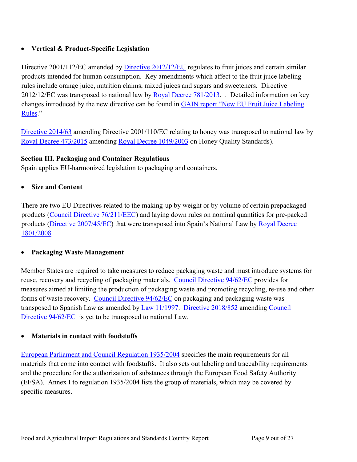# **Vertical & Product-Specific Legislation**

Directive 2001/112/EC amended by [Directive 2012/12/EU](https://eur-lex.europa.eu/LexUriServ/LexUriServ.do?uri=OJ:L:2012:115:0001:0011:EN:PDF) regulates to fruit juices and certain similar products intended for human consumption. Key amendments which affect to the fruit juice labeling rules include orange juice, nutrition claims, mixed juices and sugars and sweeteners. Directive 2012/12/EC was transposed to national law by [Royal Decree 781/2013](http://www.boe.es/boe/dias/2013/10/12/pdfs/BOE-A-2013-10611.pdf). . Detailed information on key changes introduced by the new directive can be found in [GAIN report "New EU Fruit Juice Labeling](http://gain.fas.usda.gov/Recent%20GAIN%20Publications/NEW%20EU%20FRUIT%20JUICE%20LABELING%20RULES_Brussels%20USEU_EU-27_5-31-2012.pdf)  [Rules](http://gain.fas.usda.gov/Recent%20GAIN%20Publications/NEW%20EU%20FRUIT%20JUICE%20LABELING%20RULES_Brussels%20USEU_EU-27_5-31-2012.pdf)."

[Directive 2014/63](https://eur-lex.europa.eu/legal-content/EN/TXT/HTML/?uri=CELEX:32014L0063&from=DE) amending Directive 2001/110/EC relating to honey was transposed to national law by [Royal Decree 473/2015](https://www.boe.es/diario_boe/txt.php?id=BOE-A-2015-6841) amending [Royal Decree 1049/2003](https://www.boe.es/boe/dias/2003/08/05/pdfs/A30181-30183.pdf) on Honey Quality Standards).

## <span id="page-8-0"></span>**Section III. Packaging and Container Regulations**

Spain applies EU-harmonized legislation to packaging and containers.

**Size and Content**

There are two EU Directives related to the making-up by weight or by volume of certain prepackaged products [\(Council Directive 76/211/EEC](http://eur-lex.europa.eu/legal-content/EN/TXT/PDF/?uri=CELEX:31976L0211&from=EN)) and laying down rules on nominal quantities for pre-packed products [\(Directive 2007/45/EC\)](http://eur-lex.europa.eu/LexUriServ/LexUriServ.do?uri=OJ:L:2007:247:0017:0020:EN:PDF) that were transposed into Spain's National Law by Royal Decree [1801/2008](http://www.boe.es/boe/dias/2008/11/04/pdfs/A43706-43712.pdf).

### **Packaging Waste Management**

Member States are required to take measures to reduce packaging waste and must introduce systems for reuse, recovery and recycling of packaging materials. [Council Directive 94/62/EC](https://eur-lex.europa.eu/legal-content/EN/TXT/?qid=1538573589380&uri=CELEX:31994L0062) provides for measures aimed at limiting the production of packaging waste and promoting recycling, re-use and other forms of waste recovery. [Council Directive 94/62/EC](https://eur-lex.europa.eu/legal-content/EN/TXT/?qid=1538573589380&uri=CELEX:31994L0062) on packaging and packaging waste was transposed to Spanish Law as amended by [Law 11/1997.](https://www.boe.es/boe/dias/1997/04/25/pdfs/A13270-13277.pdf) [Directive 2018/852](https://eur-lex.europa.eu/legal-content/EN/TXT/HTML/?uri=CELEX:32018L0852&from=EN) amending [Council](https://eur-lex.europa.eu/legal-content/EN/TXT/?qid=1538573589380&uri=CELEX:31994L0062)  Directive  $94/62/EC$  is yet to be transposed to national Law.

### **Materials in contact with foodstuffs**

[European Parliament and Council Regulation 1935/2004](http://eur-lex.europa.eu/LexUriServ/LexUriServ.do?uri=CONSLEG:2004R1935:20090807:EN:PDF) specifies the main requirements for all materials that come into contact with foodstuffs. It also sets out labeling and traceability requirements and the procedure for the authorization of substances through the European Food Safety Authority (EFSA). Annex I to regulation 1935/2004 lists the group of materials, which may be covered by specific measures.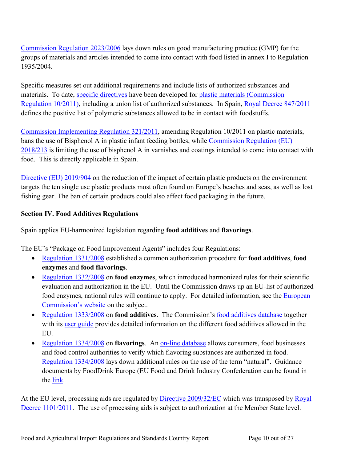[Commission Regulation 2023/2006](http://eur-lex.europa.eu/LexUriServ/LexUriServ.do?uri=CONSLEG:2006R2023:20080417:EN:PDF) lays down rules on good manufacturing practice (GMP) for the groups of materials and articles intended to come into contact with food listed in annex I to Regulation 1935/2004.

Specific measures set out additional requirements and include lists of authorized substances and materials. To date, [specific directives](http://ec.europa.eu/food/safety/chemical_safety/food_contact_materials/legislation_en) have been developed for [plastic materials \(Commission](https://eur-lex.europa.eu/legal-content/EN/TXT/?uri=CELEX:02011R0010-20180914)  [Regulation 10/2011\),](https://eur-lex.europa.eu/legal-content/EN/TXT/?uri=CELEX:02011R0010-20180914) including a union list of authorized substances. In Spain, [Royal Decree 847/2011](http://www.boe.es/boe/dias/2011/07/11/pdfs/BOE-A-2011-11828.pdf) defines the positive list of polymeric substances allowed to be in contact with foodstuffs.

[Commission Implementing Regulation 321/2011,](http://eur-lex.europa.eu/LexUriServ/LexUriServ.do?uri=OJ:L:2011:087:0001:0002:EN:PDF) amending Regulation 10/2011 on plastic materials, bans the use of Bisphenol A in plastic infant feeding bottles, while [Commission Regulation \(EU\)](https://eur-lex.europa.eu/legal-content/EN/TXT/?uri=CELEX:32018R0213)  [2018/213](https://eur-lex.europa.eu/legal-content/EN/TXT/?uri=CELEX:32018R0213) is limiting the use of bisphenol A in varnishes and coatings intended to come into contact with food. This is directly applicable in Spain.

[Directive \(EU\) 2019/904](https://eur-lex.europa.eu/eli/dir/2019/904/oj) on the reduction of the impact of certain plastic products on the environment targets the ten single use plastic products most often found on Europe's beaches and seas, as well as lost fishing gear. The ban of certain products could also affect food packaging in the future.

#### <span id="page-9-0"></span>**Section IV. Food Additives Regulations**

Spain applies EU-harmonized legislation regarding **food additives** and **flavorings**.

The EU's "Package on Food Improvement Agents" includes four Regulations:

- [Regulation 1331/2008](http://eur-lex.europa.eu/LexUriServ/LexUriServ.do?uri=OJ:L:2008:354:0001:0006:EN:PDF) established a common authorization procedure for **food additives**, **food enzymes** and **food flavorings**.
- [Regulation 1332/2008](http://eur-lex.europa.eu/legal-content/EN/TXT/PDF/?uri=CELEX:02008R1332-20121203&rid=1) on **food enzymes**, which introduced harmonized rules for their scientific evaluation and authorization in the EU. Until the Commission draws up an EU-list of authorized food enzymes, national rules will continue to apply. For detailed information, see the [European](https://ec.europa.eu/food/safety/food_improvement_agents/enzymes_en)  [Commission's website](https://ec.europa.eu/food/safety/food_improvement_agents/enzymes_en) on the subject.
- [Regulation 1333/2008](http://eur-lex.europa.eu/legal-content/EN/TXT/?qid=1478535579855&uri=CELEX:02008R1333-20160525) on **food additives**. The Commission's [food additives database](https://ec.europa.eu/food/safety/food_improvement_agents/additives/database_en) together with its [user guide](https://webgate.ec.europa.eu/foods_system/resources/userDocuments/FAD_userGuide.pdf) provides detailed information on the different food additives allowed in the EU.
- [Regulation 1334/2008](http://eur-lex.europa.eu/legal-content/EN/TXT/?qid=1478535677172&uri=CELEX:02008R1334-20160818) on **flavorings**. An [on-line database](https://webgate.ec.europa.eu/foods_system/main/?sector=FFL&auth=SANCAS) allows consumers, food businesses and food control authorities to verify which flavoring substances are authorized in food. [Regulation 1334/2008](https://eur-lex.europa.eu/legal-content/EN/TXT/?qid=1571666826521&uri=CELEX:32008R1334) lays down additional rules on the use of the term "natural". Guidance documents by FoodDrink Europe (EU Food and Drink Industry Confederation can be found in the [link](https://www.fooddrinkeurope.eu/uploads/publications_documents/FoodDrinkEurope_Guidelines_on_Flavourings1.pdf).

At the EU level, processing aids are regulated by [Directive 2009/32/EC](http://eur-lex.europa.eu/legal-content/EN/TXT/HTML/?uri=CELEX:32010L0059&from=EN) which was transposed by [Royal](https://www.boe.es/boe/dias/2011/08/30/pdfs/BOE-A-2011-14223.pdf)  [Decree 1101/2011](https://www.boe.es/boe/dias/2011/08/30/pdfs/BOE-A-2011-14223.pdf). The use of processing aids is subject to authorization at the Member State level.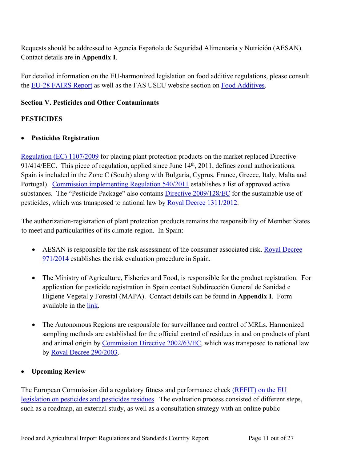Requests should be addressed to Agencia Española de Seguridad Alimentaria y Nutrición (AESAN). Contact details are in **Appendix I**.

For detailed information on the EU-harmonized legislation on food additive regulations, please consult the [EU-28 FAIRS Report](http://gain.fas.usda.gov/Recent%20GAIN%20Publications/Food%20and%20Agricultural%20Import%20Regulations%20and%20Standards%20-%20Narrative_Brussels%20USEU_EU-28_12-7-2017.pdf) as well as the FAS USEU website section on [Food Additives.](http://www.usda-eu.org/trade-with-the-eu/eu-import-rules/food-additives/)

## <span id="page-10-0"></span>**Section V. Pesticides and Other Contaminants**

# **PESTICIDES**

## **Pesticides Registration**

[Regulation \(EC\) 1107/2009](http://eur-lex.europa.eu/legal-content/EN/TXT/PDF/?uri=CELEX:32009R1107&from=EN) for placing plant protection products on the market replaced Directive 91/414/EEC. This piece of regulation, applied since June 14<sup>th</sup>, 2011, defines zonal authorizations. Spain is included in the Zone C (South) along with Bulgaria, Cyprus, France, Greece, Italy, Malta and Portugal). [Commission implementing Regulation 540/2011](http://eur-lex.europa.eu/LexUriServ/LexUriServ.do?uri=OJ:L:2011:153:0001:0186:EN:PDF) establishes a list of approved active substances. The "Pesticide Package" also contains **Directive 2009/128/EC** for the sustainable use of pesticides, which was transposed to national law by [Royal Decree 1311/2012.](https://www.boe.es/boe/dias/2012/09/15/pdfs/BOE-A-2012-11605.pdf)

The authorization-registration of plant protection products remains the responsibility of Member States to meet and particularities of its climate-region. In Spain:

- AESAN is responsible for the risk assessment of the consumer associated risk. [Royal Decree](https://www.boe.es/boe/dias/2014/12/03/pdfs/BOE-A-2014-12561.pdf)  [971/2014](https://www.boe.es/boe/dias/2014/12/03/pdfs/BOE-A-2014-12561.pdf) establishes the risk evaluation procedure in Spain.
- The Ministry of Agriculture, Fisheries and Food, is responsible for the product registration. For application for pesticide registration in Spain contact Subdirección General de Sanidad e Higiene Vegetal y Forestal (MAPA). Contact details can be found in **Appendix I**. Form available in the [link.](http://www.mapama.gob.es/agricultura/pags/fitos/registro/fichas/pdf/Modelo%20solicitud%20Registro.pdf)
- The Autonomous Regions are responsible for surveillance and control of MRLs. Harmonized sampling methods are established for the official control of residues in and on products of plant and animal origin by [Commission Directive 2002/63/EC,](http://eur-lex.europa.eu/legal-content/EN/TXT/HTML/?uri=CELEX:32002L0063&from=EN) which was transposed to national law by [Royal Decree 290/2003.](https://www.boe.es/boe/dias/2003/03/08/pdfs/A09299-09308.pdf)

# **Upcoming Review**

The European Commission did a regulatory fitness and performance check [\(REFIT\) on the EU](https://ec.europa.eu/food/plant/pesticides/refit_en)  [legislation on pesticides and pesticides residues](https://ec.europa.eu/food/plant/pesticides/refit_en). The evaluation process consisted of different steps, such as a roadmap, an external study, as well as a consultation strategy with an online public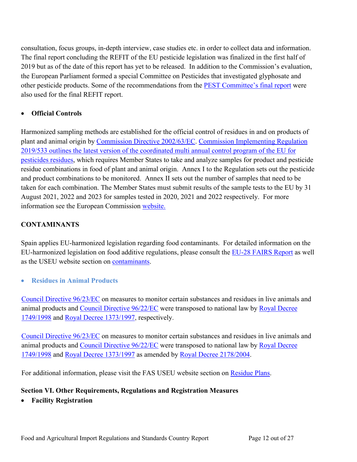consultation, focus groups, in-depth interview, case studies etc. in order to collect data and information. The final report concluding the REFIT of the EU pesticide legislation was finalized in the first half of 2019 but as of the date of this report has yet to be released. In addition to the Commission's evaluation, the European Parliament formed a special Committee on Pesticides that investigated glyphosate and other pesticide products. Some of the recommendations from the **PEST** Committee's final report were also used for the final REFIT report.

## **Official Controls**

Harmonized sampling methods are established for the official control of residues in and on products of plant and animal origin by [Commission Directive 2002/63/EC.](http://eur-lex.europa.eu/legal-content/EN/ALL/?uri=CELEX:32002L0063&qid=1479381347810) [Commission Implementing Regulation](https://eur-lex.europa.eu/legal-content/en/TXT/?uri=CELEX:32019R0533)  [2019/533 outlines the latest version of the coordinated multi annual control program of the EU for](https://eur-lex.europa.eu/legal-content/en/TXT/?uri=CELEX:32019R0533)  [pesticides residues,](https://eur-lex.europa.eu/legal-content/en/TXT/?uri=CELEX:32019R0533) which requires Member States to take and analyze samples for product and pesticide residue combinations in food of plant and animal origin. Annex I to the Regulation sets out the pesticide and product combinations to be monitored. Annex II sets out the number of samples that need to be taken for each combination. The Member States must submit results of the sample tests to the EU by 31 August 2021, 2022 and 2023 for samples tested in 2020, 2021 and 2022 respectively. For more information see the European Commission [website.](https://ec.europa.eu/food/plant/pesticides/max_residue_levels_en)

# **CONTAMINANTS**

Spain applies EU-harmonized legislation regarding food contaminants. For detailed information on the EU-harmonized legislation on food additive regulations, please consult the [EU-28 FAIRS Report](http://gain.fas.usda.gov/Recent%20GAIN%20Publications/Food%20and%20Agricultural%20Import%20Regulations%20and%20Standards%20-%20Narrative_Brussels%20USEU_EU-28_12-7-2017.pdf) as well as the USEU website section on [contaminants.](http://www.usda-eu.org/trade-with-the-eu/eu-import-rules/contaminants/)

**Residues in Animal Products**

[Council Directive 96/23/EC](http://eur-lex.europa.eu/legal-content/EN/TXT/PDF/?uri=CELEX:31996L0023&from=en) on measures to monitor certain substances and residues in live animals and animal products and [Council Directive 96/22/EC](http://eur-lex.europa.eu/LexUriServ/LexUriServ.do?uri=CONSLEG:1996L0022:20081218:ES:PDF) were transposed to national law by [Royal Decree](http://www.boe.es/boe/dias/1998/08/07/pdfs/A26910-26927.pdf)  [1749/1998](http://www.boe.es/boe/dias/1998/08/07/pdfs/A26910-26927.pdf) and [Royal Decree 1373/1997](https://www.boe.es/boe/dias/1997/08/30/pdfs/A26028-26032.pdf), respectively.

[Council Directive 96/23/EC](http://eur-lex.europa.eu/legal-content/EN/TXT/PDF/?uri=CELEX:31996L0023&from=en) on measures to monitor certain substances and residues in live animals and animal products and [Council Directive 96/22/EC](http://eur-lex.europa.eu/LexUriServ/LexUriServ.do?uri=CONSLEG:1996L0022:20081218:ES:PDF) were transposed to national law by Royal Decree [1749/1998](https://www.boe.es/buscar/doc.php?id=BOE-A-1998-19112) and [Royal Decree 1373/1997](https://www.boe.es/buscar/doc.php?id=BOE-A-1997-19127) as amended by [Royal Decree 2178/2004.](https://www.boe.es/buscar/act.php?id=BOE-A-2004-19312)

For additional information, please visit the FAS USEU website section on [Residue Plans](http://www.usda-eu.org/trade-with-the-eu/eu-import-rules/certification/residue-plans/).

# <span id="page-11-0"></span>**Section VI. Other Requirements, Regulations and Registration Measures**

**Facility Registration**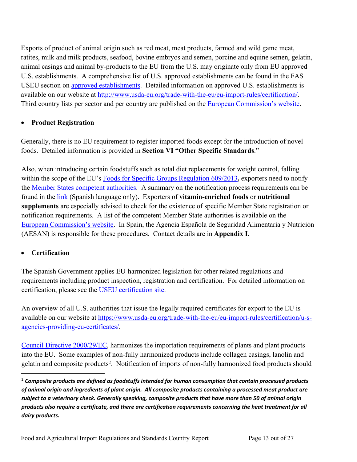Exports of product of animal origin such as red meat, meat products, farmed and wild game meat, ratites, milk and milk products, seafood, bovine embryos and semen, porcine and equine semen, gelatin, animal casings and animal by-products to the EU from the U.S. may originate only from EU approved U.S. establishments. A comprehensive list of U.S. approved establishments can be found in the FAS USEU section on [approved establishments.](http://www.usda-eu.org/trade-with-the-eu/eu-import-rules/certification/approved-u-s-establishments/) Detailed information on approved U.S. establishments is available on our website at [http://www.usda-eu.org/trade-with-the-eu/eu-import-rules/certification/.](http://www.usda-eu.org/trade-with-the-eu/eu-import-rules/certification/) Third country lists per sector and per country are published on the [European Commission's website.](https://webgate.ec.europa.eu/sanco/traces/output/non_eu_listsPerCountry_en.htm)

### **Product Registration**

Generally, there is no EU requirement to register imported foods except for the introduction of novel foods. Detailed information is provided in **Section VI "Other Specific Standards**."

Also, when introducing certain foodstuffs such as total diet replacements for weight control, falling within the scope of the EU's [Foods for Specific Groups Regulation 609/2013](http://eur-lex.europa.eu/legal-content/EN/TXT/?qid=1510147943855&uri=CELEX:02013R0609-20170711)**,** exporters need to notify the [Member States competent authorities](https://ec.europa.eu/food/sites/food/files/safety/docs/labelling_nutrition-supplements-food_supplements_authorities_en.pdf). A summary on the notification process requirements can be found in the [link](http://www.aecosan.msssi.gob.es/AECOSAN/web/seguridad_alimentaria/detalle/nuevos_alimentos.htm) (Spanish language only). Exporters of **vitamin-enriched foods** or **nutritional supplements** are especially advised to check for the existence of specific Member State registration or notification requirements. A list of the competent Member State authorities is available on the [European Commission's website.](https://ec.europa.eu/food/sites/food/files/safety/docs/labelling_nutrition-supplements-food_supplements_authorities_en.pdf) In Spain, the Agencia Española de Seguridad Alimentaria y Nutrición (AESAN) is responsible for these procedures. Contact details are in **Appendix I**.

# **Certification**

The Spanish Government applies EU-harmonized legislation for other related regulations and requirements including product inspection, registration and certification. For detailed information on certification, please see the [USEU certification site.](http://www.usda-eu.org/trade-with-the-eu/eu-import-rules/certification/)

An overview of all U.S. authorities that issue the legally required certificates for export to the EU is available on our website at [https://www.usda-eu.org/trade-with-the-eu/eu-import-rules/certification/u-s](https://www.usda-eu.org/trade-with-the-eu/eu-import-rules/certification/u-s-agencies-providing-eu-certificates/)[agencies-providing-eu-certificates/.](https://www.usda-eu.org/trade-with-the-eu/eu-import-rules/certification/u-s-agencies-providing-eu-certificates/)

[Council Directive 2000/29/EC](https://eur-lex.europa.eu/legal-content/EN/TXT/HTML/?uri=CELEX:32000L0029&from=EN), harmonizes the importation requirements of plants and plant products into the EU. Some examples of non-fully harmonized products include collagen casings, lanolin and gelatin and composite products<sup>2</sup>. Notification of imports of non-fully harmonized food products should

<sup>2</sup> *Composite products are defined as foodstuffs intended for human consumption that contain processed products of animal origin and ingredients of plant origin. All composite products containing a processed meat product are subject to a veterinary check. Generally speaking, composite products that have more than 50 of animal origin products also require a certificate, and there are certification requirements concerning the heat treatment for all dairy products.*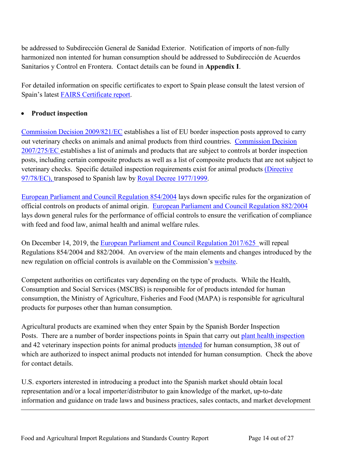be addressed to Subdirección General de Sanidad Exterior. Notification of imports of non-fully harmonized non intented for human consumption should be addressed to Subdirección de Acuerdos Sanitarios y Control en Frontera. Contact details can be found in **Appendix I**.

For detailed information on specific certificates to export to Spain please consult the latest version of Spain's latest [FAIRS Certificate report](https://gain.fas.usda.gov/Pages/Default.aspx).

## **Product inspection**

[Commission Decision 2009/821/EC](http://eur-lex.europa.eu/legal-content/EN/TXT/PDF/?uri=CELEX:02009D0821-20160503&qid=1478615425352&from=EN) establishes a list of EU border inspection posts approved to carry out veterinary checks on animals and animal products from third countries. [Commission Decision](http://eur-lex.europa.eu/legal-content/EN/TXT/PDF/?uri=CELEX:02007D0275-20120301&qid=1478618117306&from=EN)  [2007/275/EC](http://eur-lex.europa.eu/legal-content/EN/TXT/PDF/?uri=CELEX:02007D0275-20120301&qid=1478618117306&from=EN) establishes a list of animals and products that are subject to controls at border inspection posts, including certain composite products as well as a list of composite products that are not subject to veterinary checks. Specific detailed inspection requirements exist for animal products [\(Directive](http://eur-lex.europa.eu/LexUriServ/LexUriServ.do?uri=CONSLEG:1997L0078:20130701:EN:PDF)  [97/78/EC\)](http://eur-lex.europa.eu/LexUriServ/LexUriServ.do?uri=CONSLEG:1997L0078:20130701:EN:PDF), transposed to Spanish law by [Royal Decree 1977/1999.](https://www.boe.es/buscar/act.php?id=BOE-A-1999-24718&p=20131122&tn=0)

[European Parliament and Council Regulation 854/2004](https://eur-lex.europa.eu/legal-content/EN/TXT/HTML/?uri=LEGISSUM:f84003&from=EN) lays down specific rules for the organization of official controls on products of animal origin. [European Parliament and Council Regulation 882/2004](https://eur-lex.europa.eu/legal-content/EN/TXT/HTML/?uri=CELEX:32004R0882&from=EN) lays down general rules for the performance of official controls to ensure the verification of compliance with feed and food law, animal health and animal welfare rules.

On December 14, 2019, the [European Parliament and Council Regulation 2017/625](https://eur-lex.europa.eu/legal-content/EN/TXT/HTML/?uri=CELEX:32017R0625&from=EN) will repeal Regulations 854/2004 and 882/2004. An overview of the main elements and changes introduced by the new regulation on official controls is available on the Commission's [website.](https://ec.europa.eu/food/safety/official_controls_en)

Competent authorities on certificates vary depending on the type of products. While the Health, Consumption and Social Services (MSCBS) is responsible for of products intended for human consumption, the Ministry of Agriculture, Fisheries and Food (MAPA) is responsible for agricultural products for purposes other than human consumption.

Agricultural products are examined when they enter Spain by the Spanish Border Inspection Posts. There are a number of border inspections points in Spain that carry out [plant health inspection](http://www.magrama.gob.es/es/agricultura/temas/sanidad-vegetal/) and 42 veterinary inspection points for animal products [intended](http://www.mspsi.es/profesionales/saludPublica/sanidadExterior/controlesSanitarios/instaAlmacen/pdf/Pif.pdf) for human consumption, 38 out of which are authorized to inspect animal products not intended for human consumption. Check the above for contact details.

U.S. exporters interested in introducing a product into the Spanish market should obtain local representation and/or a local importer/distributor to gain knowledge of the market, up-to-date information and guidance on trade laws and business practices, sales contacts, and market development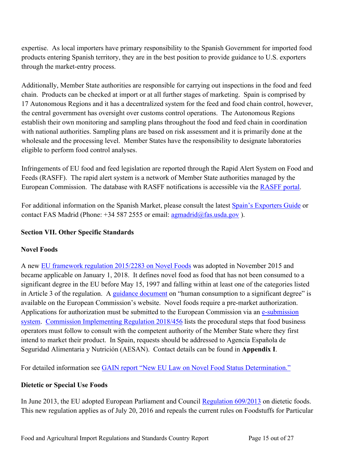expertise. As local importers have primary responsibility to the Spanish Government for imported food products entering Spanish territory, they are in the best position to provide guidance to U.S. exporters through the market-entry process.

Additionally, Member State authorities are responsible for carrying out inspections in the food and feed chain. Products can be checked at import or at all further stages of marketing. Spain is comprised by 17 Autonomous Regions and it has a decentralized system for the feed and food chain control, however, the central government has oversight over customs control operations. The Autonomous Regions establish their own monitoring and sampling plans throughout the food and feed chain in coordination with national authorities. Sampling plans are based on risk assessment and it is primarily done at the wholesale and the processing level. Member States have the responsibility to designate laboratories eligible to perform food control analyses.

Infringements of EU food and feed legislation are reported through the Rapid Alert System on Food and Feeds (RASFF). The rapid alert system is a network of Member State authorities managed by the European Commission. The database with RASFF notifications is accessible via the [RASFF portal](http://ec.europa.eu/food/safety/rasff/portal_en).

For additional information on the Spanish Market, please consult the latest [Spain's Exporters Guide](https://gain.fas.usda.gov/Recent%20GAIN%20Publications/Exporter%20Guide_Madrid_Spain_3-22-2019.pdf) or contact FAS Madrid (Phone:  $+345872555$  or email: [agmadrid@fas.usda.gov](mailto:agmadrid@fas.usda.gov)).

## <span id="page-14-0"></span>**Section VII. Other Specific Standards**

### <span id="page-14-1"></span>**Novel Foods**

A new [EU framework regulation 2015/2283 on Novel Foods](http://eur-lex.europa.eu/legal-content/EN/TXT/PDF/?uri=OJ:JOL_2015_327_R_0001&from=EN) was adopted in November 2015 and became applicable on January 1, 2018. It defines novel food as food that has not been consumed to a significant degree in the EU before May 15, 1997 and falling within at least one of the categories listed in Article 3 of the regulation. A [guidance document](https://ec.europa.eu/food/sites/food/files/safety/docs/novel-food_guidance_human-consumption_en.pdf) on "human consumption to a significant degree" is available on the European Commission's website. Novel foods require a pre-market authorization. Applications for authorization must be submitted to the European Commission via an [e-submission](https://ec.europa.eu/food/safety/novel_food/e-submission_en)  [system](https://ec.europa.eu/food/safety/novel_food/e-submission_en). [Commission Implementing Regulation 2018/456](https://eur-lex.europa.eu/legal-content/EN/TXT/PDF/?uri=CELEX:32018R0456&from=EN) lists the procedural steps that food business operators must follow to consult with the competent authority of the Member State where they first intend to market their product. In Spain, requests should be addressed to Agencia Española de Seguridad Alimentaria y Nutrición (AESAN). Contact details can be found in **Appendix I**.

For detailed information see [GAIN report "New EU Law on Novel Food Status Determination.](https://gain.fas.usda.gov/Recent%20GAIN%20Publications/New%20EU%20Law%20on%20Novel%20Food%20Status%20Determination_Brussels%20USEU_EU-28_4-5-2018.pdf)"

### <span id="page-14-2"></span>**Dietetic or Special Use Foods**

In June 2013, the EU adopted European Parliament and Council [Regulation 609/2013](http://eur-lex.europa.eu/LexUriServ/LexUriServ.do?uri=OJ:L:2013:181:0035:0056:EN:PDF) on dietetic foods. This new regulation applies as of July 20, 2016 and repeals the current rules on Foodstuffs for Particular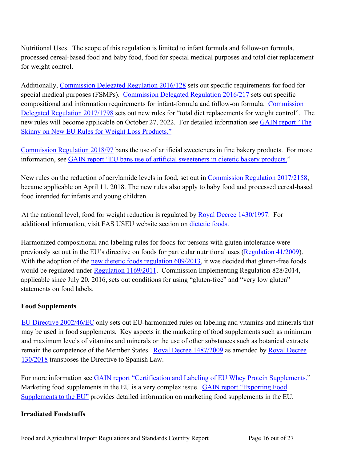Nutritional Uses. The scope of this regulation is limited to infant formula and follow-on formula, processed cereal-based food and baby food, food for special medical purposes and total diet replacement for weight control.

Additionally, [Commission Delegated Regulation 2016/128](http://eur-lex.europa.eu/legal-content/EN/TXT/PDF/?uri=CELEX:32016R0128&rid=5) sets out specific requirements for food for special medical purposes (FSMPs). [Commission Delegated Regulation 2016/217](http://eur-lex.europa.eu/legal-content/EN/TXT/PDF/?uri=CELEX:32016R0127&rid=4) sets out specific compositional and information requirements for infant-formula and follow-on formula. [Commission](http://eur-lex.europa.eu/legal-content/EN/TXT/?qid=1510840351932&uri=CELEX:32017R1798)  [Delegated Regulation 2017/1798](http://eur-lex.europa.eu/legal-content/EN/TXT/?qid=1510840351932&uri=CELEX:32017R1798) sets out new rules for "total diet replacements for weight control". The new rules will become applicable on October 27, 2022. For detailed information see [GAIN report "The](https://gain.fas.usda.gov/Recent%20GAIN%20Publications/The%20Skinny%20on%20New%20EU%20Rules%20for%20Weight%20Loss%20Products_Brussels%20USEU_EU-28_10-25-2017.pdf)  [Skinny on New EU Rules for Weight Loss Products."](https://gain.fas.usda.gov/Recent%20GAIN%20Publications/The%20Skinny%20on%20New%20EU%20Rules%20for%20Weight%20Loss%20Products_Brussels%20USEU_EU-28_10-25-2017.pdf)

[Commission Regulation 2018/97](https://eur-lex.europa.eu/legal-content/EN/TXT/PDF/?uri=CELEX:32018R0097&rid=5) bans the use of artificial sweeteners in fine bakery products. For more information, see [GAIN report "EU bans use of artificial sweeteners in dietetic bakery products."](https://gain.fas.usda.gov/Recent%20GAIN%20Publications/EU%20Bans%20Use%20of%20Artificial%20Sweeteners%20in%20Dietetic%20Bakery%20Products_Brussels%20USEU_EU-28_2-5-2018.pdf)

New rules on the reduction of acrylamide levels in food, set out in [Commission Regulation 2017/2158](http://eur-lex.europa.eu/legal-content/EN/TXT/?uri=uriserv:OJ.L_.2017.304.01.0024.01.ENG&toc=OJ:L:2017:304:TOC), became applicable on April 11, 2018. The new rules also apply to baby food and processed cereal-based food intended for infants and young children.

At the national level, food for weight reduction is regulated by [Royal Decree 1430/1997.](https://www.boe.es/buscar/pdf/1997/BOE-A-1997-20317-consolidado.pdf) For additional information, visit FAS USEU website section on [dietetic foods](http://www.usda-eu.org/trade-with-the-eu/eu-import-rules/eu-labeling-requirements/dietetic-foods/).

Harmonized compositional and labeling rules for foods for persons with gluten intolerance were previously set out in the EU's directive on foods for particular nutritional uses [\(Regulation 41/2009](http://eur-lex.europa.eu/LexUriServ/LexUriServ.do?uri=OJ:L:2009:016:0003:0005:EN:PDF)). With the adoption of the [new dietetic foods regulation 609/2013](http://eur-lex.europa.eu/legal-content/EN/TXT/PDF/?uri=CELEX:32013R0609&rid=1), it was decided that gluten-free foods would be regulated under [Regulation 1169/2011](http://eur-lex.europa.eu/LexUriServ/LexUriServ.do?uri=OJ:L:2011:304:0018:0063:EN:PDF). Commission Implementing Regulation 828/2014, applicable since July 20, 2016, sets out conditions for using "gluten-free" and "very low gluten" statements on food labels.

### <span id="page-15-0"></span>**Food Supplements**

[EU Directive 2002/46/EC](http://eur-lex.europa.eu/legal-content/EN/TXT/?qid=1510669639596&uri=CELEX:02002L0046-20170726) only sets out EU-harmonized rules on labeling and vitamins and minerals that may be used in food supplements. Key aspects in the marketing of food supplements such as minimum and maximum levels of vitamins and minerals or the use of other substances such as botanical extracts remain the competence of the Member States. [Royal Decree 1487/2009](http://www.boe.es/boe/dias/2009/10/09/pdfs/BOE-A-2009-16109.pdf) as amended by [Royal Decree](http://www.boe.es/boe/dias/2018/03/27/pdfs/BOE-A-2018-4245.pdf)  [130/2018](http://www.boe.es/boe/dias/2018/03/27/pdfs/BOE-A-2018-4245.pdf) transposes the Directive to Spanish Law.

For more information see [GAIN report "Certification and Labeling of EU Whey Protein Supplements.](http://gain.fas.usda.gov/Recent%20GAIN%20Publications/Certification%20and%20Labeling%20for%20EU%20Whey%20Protein%20Supplements_Brussels%20USEU_Belgium%20EU-28_11-22-2016.pdf)" Marketing food supplements in the EU is a very complex issue. GAIN report "Exporting Food [Supplements to the EU"](https://gain.fas.usda.gov/Recent%20GAIN%20Publications/Exporting%20Food%20Supplements%20to%20the%20European%20Union_Brussels%20USEU_EU-28_1-11-2017.pdf) provides detailed information on marketing food supplements in the EU.

### <span id="page-15-1"></span>**Irradiated Foodstuffs**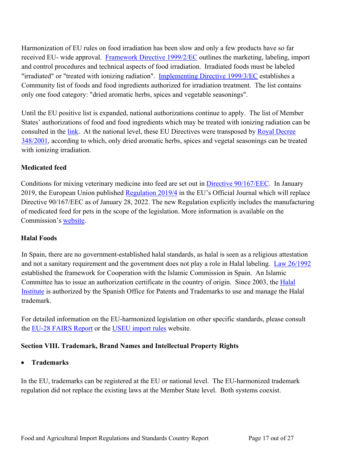Harmonization of EU rules on food irradiation has been slow and only a few products have so far received EU- wide approval. [Framework Directive 1999/2/EC](http://eur-lex.europa.eu/LexUriServ/LexUriServ.do?uri=CONSLEG:1999L0002:20081211:EN:PDF) outlines the marketing, labeling, import and control procedures and technical aspects of food irradiation. Irradiated foods must be labeled "irradiated" or "treated with ionizing radiation". [Implementing Directive 1999/3/EC](http://eur-lex.europa.eu/LexUriServ/LexUriServ.do?uri=OJ:L:1999:066:0024:0025:EN:PDF) establishes a Community list of foods and food ingredients authorized for irradiation treatment. The list contains only one food category: "dried aromatic herbs, spices and vegetable seasonings".

Until the EU positive list is expanded, national authorizations continue to apply. The list of Member States' authorizations of food and food ingredients which may be treated with ionizing radiation can be consulted in the [link](http://eur-lex.europa.eu/LexUriServ/LexUriServ.do?uri=OJ:C:2009:283:0005:0005:En:PDF). At the national level, these EU Directives were transposed by Royal Decree [348/2001](http://www.boe.es/boe/dias/2001/04/05/pdfs/A12825-12830.pdf), according to which, only dried aromatic herbs, spices and vegetal seasonings can be treated with ionizing irradiation.

### <span id="page-16-0"></span>**Medicated feed**

Conditions for mixing veterinary medicine into feed are set out in [Directive 90/167/EEC](http://eur-lex.europa.eu/LexUriServ/LexUriServ.do?uri=OJ:L:1990:092:0042:0048:EN:PDF). In January 2019, the European Union published [Regulation 2019/4](https://eur-lex.europa.eu/legal-content/EN/TXT/?qid=1573046224826&uri=CELEX:32019R0004) in the EU's Official Journal which will replace Directive 90/167/EEC as of January 28, 2022. The new Regulation explicitly includes the manufacturing of medicated feed for pets in the scope of the legislation. More information is available on the Commission's [website](https://ec.europa.eu/food/animals/health/veterinary-medicines-and-medicated-feed/medicated-feed-safe-and-controlled-oral_en).

### <span id="page-16-1"></span>**Halal Foods**

In Spain, there are no government-established halal standards, as halal is seen as a religious attestation and not a sanitary requirement and the government does not play a role in Halal labeling. [Law 26/1992](http://www.boe.es/boe/dias/1992/11/12/pdfs/A38214-38217.pdf) established the framework for Cooperation with the Islamic Commission in Spain. An Islamic Committee has to issue an authorization certificate in the country of origin. Since 2003, the Halal [Institute](http://www.institutohalal.com/) is authorized by the Spanish Office for Patents and Trademarks to use and manage the Halal trademark.

For detailed information on the EU-harmonized legislation on other specific standards, please consult the [EU-28 FAIRS Report](http://gain.fas.usda.gov/Recent%20GAIN%20Publications/Food%20and%20Agricultural%20Import%20Regulations%20and%20Standards%20-%20Narrative_Brussels%20USEU_EU-28_12-7-2017.pdf) or the [USEU import rules](http://www.usda-eu.org/trade-with-the-eu/eu-import-rules/) website.

### <span id="page-16-2"></span>**Section VIII. Trademark, Brand Names and Intellectual Property Rights**

### **Trademarks**

In the EU, trademarks can be registered at the EU or national level. The EU-harmonized trademark regulation did not replace the existing laws at the Member State level. Both systems coexist.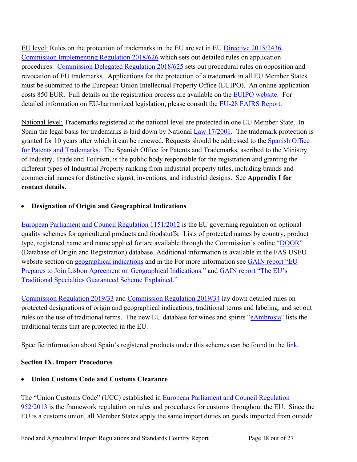EU level: Rules on the protection of trademarks in the EU are set in EU [Directive 2015/2436.](https://eur-lex.europa.eu/legal-content/EN/TXT/HTML/?uri=CELEX:32015L2436&from=EN) [Commission Implementing Regulation 2018/626](https://eur-lex.europa.eu/legal-content/EN/TXT/PDF/?uri=CELEX:32018R0626&qid=1539166101116&from=EN) which sets out detailed rules on application procedures. [Commission Delegated Regulation 2018/625](https://eur-lex.europa.eu/legal-content/AUTO/?uri=CELEX:32018R0625&qid=1539165580883&rid=2) sets out procedural rules on opposition and revocation of EU trademarks. Applications for the protection of a trademark in all EU Member States must be submitted to the European Union Intellectual Property Office (EUIPO). An online application costs 850 EUR. Full details on the registration process are available on the [EUIPO website](https://euipo.europa.eu/ohimportal/en/trade-marks-in-the-european-union). For detailed information on EU-harmonized legislation, please consult the [EU-28 FAIRS Report.](http://gain.fas.usda.gov/Recent%20GAIN%20Publications/Food%20and%20Agricultural%20Import%20Regulations%20and%20Standards%20-%20Narrative_Brussels%20USEU_EU-28_12-7-2017.pdf)

National level: Trademarks registered at the national level are protected in one EU Member State. In Spain the legal basis for trademarks is laid down by National [Law 17/2001](http://www.boe.es/boe/dias/2001/12/08/pdfs/A45579-45603.pdf). The trademark protection is granted for 10 years after which it can be renewed. Requests should be addressed to the Spanish Office [for Patents and Trademarks](http://www.oepm.es/es/index.html). The Spanish Office for Patents and Trademarks, ascribed to the Ministry of Industry, Trade and Tourism, is the public body responsible for the registration and granting the different types of Industrial Property ranking from industrial property titles, including brands and commercial names (or distinctive signs), inventions, and industrial designs. See **Appendix I for contact details.**

# **Designation of Origin and Geographical Indications**

[European Parliament and Council Regulation 1151/2012](https://eur-lex.europa.eu/legal-content/en/TXT/?uri=CELEX:32012R1151) is the EU governing regulation on optional quality schemes for agricultural products and foodstuffs. Lists of protected names by country, product type, registered name and name applied for are available through the Commission's online "[DOOR"](http://ec.europa.eu/agriculture/quality/door/list.html) (Database of Origin and Registration) database. Additional information is available in the FAS USEU website section on [geographical indications](http://www.usda-eu.org/topics/geographical-indications/) and in the For more information see GAIN report "EU [Prepares to Join Lisbon Agreement on Geographical Indications."](https://gain.fas.usda.gov/Recent%20GAIN%20Publications/EU%20Prepares%20to%20Join%20Lisbon%20Agreement%20on%20Geographical%20Indications_Brussels%20USEU_EU-28_2-6-2018.pdf) and [GAIN report "The EU's](http://gain.fas.usda.gov/Recent%20GAIN%20Publications/The%20EU)  [Traditional Specialties Guaranteed Scheme Explained."](http://gain.fas.usda.gov/Recent%20GAIN%20Publications/The%20EU)

[Commission Regulation 2019/33](https://eur-lex.europa.eu/legal-content/en/TXT/?uri=CELEX:32019R0033) and [Commission Regulation 2019/34](https://eur-lex.europa.eu/legal-content/EN/ALL/?uri=CELEX:32019R0034) lay down detailed rules on protected designations of origin and geographical indications, traditional terms and labeling, and set out rules on the use of traditional terms. The new EU database for wines and spirits "[eAmbrosia](https://ec.europa.eu/info/food-farming-fisheries/food-safety-and-quality/certification/quality-labels/geographical-indications-register/)" lists the traditional terms that are protected in the EU.

Specific information about Spain's registered products under this schemes can be found in the [link.](http://www.mapama.gob.es/es/alimentacion/temas/calidad-agroalimentaria/calidad-diferenciada/dop/default.aspx)

# <span id="page-17-0"></span>**Section IX. Import Procedures**

# **Union Customs Code and Customs Clearance**

The "Union Customs Code" (UCC) established in [European Parliament and Council Regulation](http://eur-lex.europa.eu/legal-content/EN/TXT/?qid=1508762920937&uri=CELEX:02013R0952-20161224)  [952/2013](http://eur-lex.europa.eu/legal-content/EN/TXT/?qid=1508762920937&uri=CELEX:02013R0952-20161224) is the framework regulation on rules and procedures for customs throughout the EU. Since the EU is a customs union, all Member States apply the same import duties on goods imported from outside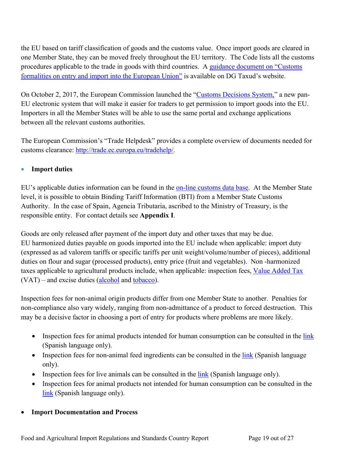the EU based on tariff classification of goods and the customs value. Once import goods are cleared in one Member State, they can be moved freely throughout the EU territory. The Code lists all the customs procedures applicable to the trade in goods with third countries. A [guidance document on "Customs](http://ec.europa.eu/taxation_customs/sites/taxation/files/resources/documents/customs/customs_code/guidance_customs_formalities_entry_import_en.pdf)  [formalities on entry and import into the European Union"](http://ec.europa.eu/taxation_customs/sites/taxation/files/resources/documents/customs/customs_code/guidance_customs_formalities_entry_import_en.pdf) is available on DG Taxud's website.

On October 2, 2017, the European Commission launched the "[Customs Decisions System,](https://ec.europa.eu/taxation_customs/business/customs-procedures/customs-decisions_en)" a new pan-EU electronic system that will make it easier for traders to get permission to import goods into the EU. Importers in all the Member States will be able to use the same portal and exchange applications between all the relevant customs authorities.

The European Commission's "Trade Helpdesk" provides a complete overview of documents needed for customs clearance: [http://trade.ec.europa.eu/tradehelp/.](http://trade.ec.europa.eu/tradehelp/)

# **Import duties**

EU's applicable duties information can be found in the [on-line customs data base.](http://ec.europa.eu/taxation_customs/dds2/taric/taric_consultation.jsp?Lang=en) At the Member State level, it is possible to obtain Binding Tariff Information (BTI) from a Member State Customs Authority. In the case of Spain, Agencia Tributaria, ascribed to the Ministry of Treasury, is the responsible entity. For contact details see **Appendix I**.

Goods are only released after payment of the import duty and other taxes that may be due. EU harmonized duties payable on goods imported into the EU include when applicable: import duty (expressed as ad valorem tariffs or specific tariffs per unit weight/volume/number of pieces), additional duties on flour and sugar (processed products), entry price (fruit and vegetables). Non -harmonized taxes applicable to agricultural products include, when applicable: inspection fees, [Value Added Tax](http://ec.europa.eu/taxation_customs/sites/taxation/files/resources/documents/taxation/vat/how_vat_works/rates/vat_rates_en.pdf) (VAT) – and excise duties ([alcohol](http://ec.europa.eu/taxation_customs/taxation/excise_duties/alcoholic_beverages/rates/index_en.htm) and [tobacco\)](http://ec.europa.eu/taxation_customs/business/excise-duties-alcohol-tobacco-energy/excise-duties-tobacco_en).

Inspection fees for non-animal origin products differ from one Member State to another. Penalties for non-compliance also vary widely, ranging from non-admittance of a product to forced destruction. This may be a decisive factor in choosing a port of entry for products where problems are more likely.

- **Inspection fees for animal products intended for human consumption can be consulted in the**  $\frac{\text{link}}{\text{link}}$  $\frac{\text{link}}{\text{link}}$  $\frac{\text{link}}{\text{link}}$ (Spanish language only).
- **Inspection fees for non-animal feed ingredients can be consulted in the**  $\frac{\text{link}}{\text{link}}$  $\frac{\text{link}}{\text{link}}$  $\frac{\text{link}}{\text{link}}$  **(Spanish language)** only).
- Inspection fees for live animals can be consulted in the  $\frac{\ln k}{\ln k}$  (Spanish language only).
- Inspection fees for animal products not intended for human consumption can be consulted in the [link](http://www.mapama.gob.es/es/ganaderia/temas/comercio-exterior-ganadero/tasainspeccionespoanch_tcm30-104875.pdf) (Spanish language only).

### **Import Documentation and Process**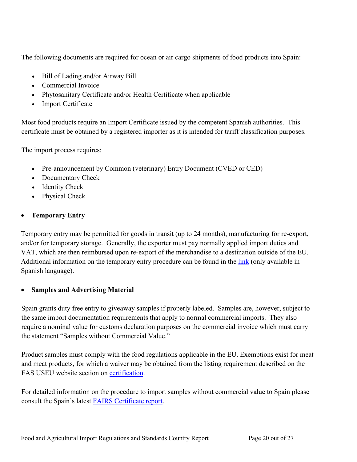The following documents are required for ocean or air cargo shipments of food products into Spain:

- Bill of Lading and/or Airway Bill
- Commercial Invoice
- Phytosanitary Certificate and/or Health Certificate when applicable
- Import Certificate

Most food products require an Import Certificate issued by the competent Spanish authorities. This certificate must be obtained by a registered importer as it is intended for tariff classification purposes.

The import process requires:

- Pre-announcement by Common (veterinary) Entry Document (CVED or CED)
- Documentary Check
- Identity Check
- Physical Check

# **Temporary Entry**

Temporary entry may be permitted for goods in transit (up to 24 months), manufacturing for re-export, and/or for temporary storage. Generally, the exporter must pay normally applied import duties and VAT, which are then reimbursed upon re-export of the merchandise to a destination outside of the EU. Additional information on the temporary entry procedure can be found in the [link](http://www.comercio.gob.es/es-ES/comercio-exterior/politica-comercial/medidas-arancelarias/Paginas/regimenes-aduaneros-economicos.aspx) (only available in Spanish language).

# **Samples and Advertising Material**

Spain grants duty free entry to giveaway samples if properly labeled. Samples are, however, subject to the same import documentation requirements that apply to normal commercial imports. They also require a nominal value for customs declaration purposes on the commercial invoice which must carry the statement "Samples without Commercial Value."

Product samples must comply with the food regulations applicable in the EU. Exemptions exist for meat and meat products, for which a waiver may be obtained from the listing requirement described on the FAS USEU website section on [certification.](http://www.usda-eu.org/trade-with-the-eu/eu-import-rules/certification/)

For detailed information on the procedure to import samples without commercial value to Spain please consult the Spain's latest [FAIRS Certificate report.](https://gain.fas.usda.gov/Pages/Default.aspx)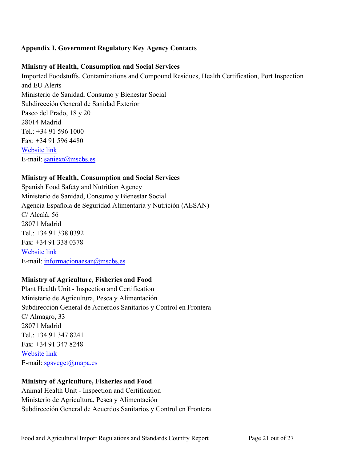# <span id="page-20-0"></span>**Appendix I. Government Regulatory Key Agency Contacts**

#### **Ministry of Health, Consumption and Social Services**

Imported Foodstuffs, Contaminations and Compound Residues, Health Certification, Port Inspection and EU Alerts Ministerio de Sanidad, Consumo y Bienestar Social Subdirección General de Sanidad Exterior Paseo del Prado, 18 y 20 28014 Madrid Tel.: +34 91 596 1000 Fax: +34 91 596 4480 [Website link](http://www.mscbs.gob.es/) E-mail: [saniext@mscbs.es](mailto:saniext@mscbs.es) 

### **Ministry of Health, Consumption and Social Services**

Spanish Food Safety and Nutrition Agency [Ministerio de Sanidad, Consumo y Bienestar Social](https://www.mscbs.gob.es/) Agencia Española de Seguridad Alimentaria y Nutrición (AESAN) C/ Alcalá, 56 28071 Madrid Tel.: +34 91 338 0392 Fax: +34 91 338 0378 [Website link](http://www.aecosan.msssi.gob.es/AECOSAN/web/home/aecosan_inicio.htm) E-mail: [informacionaesan@mscbs.es](mailto:informacionaesan@mscbs.es)

### **Ministry of Agriculture, Fisheries and Food**

Plant Health Unit - Inspection and Certification Ministerio de Agricultura, Pesca y Alimentación Subdirección General de Acuerdos Sanitarios y Control en Frontera C/ Almagro, 33 28071 Madrid Tel.: +34 91 347 8241 Fax: +34 91 347 8248 [Website link](http://www.mapama.gob.es/es/agricultura/temas/sanidad-vegetal/default.aspx) E-mail: [sgsveget@mapa.es](mailto:sgsveget@mapama.es)

### **Ministry of Agriculture, Fisheries and Food**

Animal Health Unit - Inspection and Certification Ministerio de Agricultura, Pesca y Alimentación Subdirección General de Acuerdos Sanitarios y Control en Frontera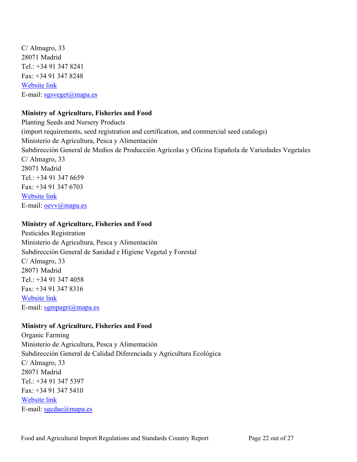C/ Almagro, 33 28071 Madrid Tel.: +34 91 347 8241 Fax: +34 91 347 8248 [Website link](http://cexgan.magrama.es/Modulos/Default.aspx) E-mail:  $sgsveget(\omega)$ mapa.es

#### **Ministry of Agriculture, Fisheries and Food**

Planting Seeds and Nursery Products (import requirements, seed registration and certification, and commercial seed catalogs) Ministerio de Agricultura, Pesca y Alimentación Subdirección General de Medios de Producción Agrícolas y Oficina Española de Variedades Vegetales C/ Almagro, 33 28071 Madrid Tel.: +34 91 347 6659 Fax: +34 91 347 6703 [Website link](http://www.magrama.gob.es/es/agricultura/temas/medios-de-produccion/semillas-y-plantas-de-vivero/) E-mail: [oevv@mapa.es](mailto:oevv@mapama.es)

#### **Ministry of Agriculture, Fisheries and Food**

Pesticides Registration Ministerio de Agricultura, Pesca y Alimentación Subdirección General de Sanidad e Higiene Vegetal y Forestal C/ Almagro, 33 28071 Madrid Tel.: +34 91 347 4058 Fax: +34 91 347 8316 [Website link](http://www.mapama.gob.es/es/agricultura/temas/sanidad-vegetal/productos-fitosanitarios/registro/menu.asp) E-mail: [sgmpagri@mapa.es](mailto:sgmpagri@mapama.es)

#### **Ministry of Agriculture, Fisheries and Food**

Organic Farming Ministerio de Agricultura, Pesca y Alimentación Subdirección General de Calidad Diferenciada y Agricultura Ecológica C/ Almagro, 33 28071 Madrid Tel.: +34 91 347 5397 Fax: +34 91 347 5410 [Website link](http://www.mapama.gob.es/es/alimentacion/temas/calidad-agroalimentaria/calidad-diferenciada/) E-mail: [sgcdae@mapa.es](mailto:sgcdae@mapa.es)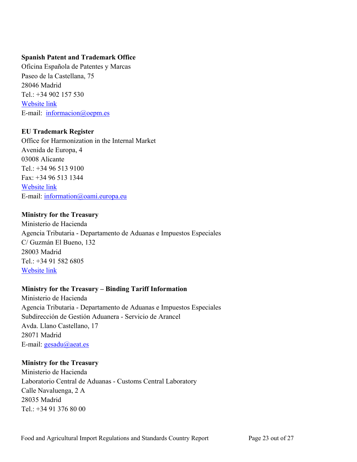### **Spanish Patent and Trademark Office**

Oficina Española de Patentes y Marcas Paseo de la Castellana, 75 28046 Madrid Tel.: +34 902 157 530 [Website link](http://www.oepm.es/es/index.html) E-mail:[informacion@oepm.es](mailto:informacion@oepm.es)

#### **EU Trademark Register**

Office for Harmonization in the Internal Market Avenida de Europa, 4 03008 Alicante  $Tel: +34965139100$ Fax: +34 96 513 1344 [Website link](http://oami.europa.eu/ows/rw/pages/index.en.do) E-mail: [information@oami.europa.eu](mailto:information@oami.europa.eu)

#### **Ministry for the Treasury**

Ministerio de Hacienda Agencia Tributaria - Departamento de Aduanas e Impuestos Especiales C/ Guzmán El Bueno, 132 28003 Madrid Tel.: +34 91 582 6805 [Website link](http://www.aeat.es/)

### **Ministry for the Treasury – Binding Tariff Information**

Ministerio de Hacienda Agencia Tributaria - Departamento de Aduanas e Impuestos Especiales Subdirección de Gestión Aduanera - Servicio de Arancel Avda. Llano Castellano, 17 28071 Madrid E-mail:  $gesadu@aeat.es$ 

#### **Ministry for the Treasury**

Ministerio de Hacienda Laboratorio Central de Aduanas - Customs Central Laboratory Calle Navaluenga, 2 A 28035 Madrid Tel.: +34 91 376 80 00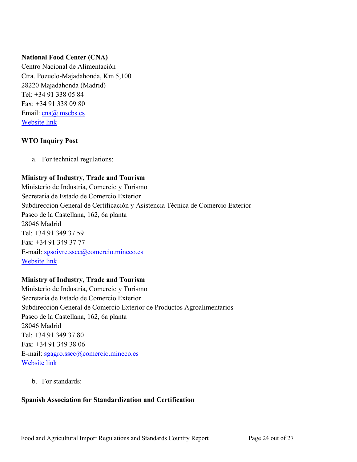## **National Food Center (CNA)**

Centro Nacional de Alimentación Ctra. Pozuelo-Majadahonda, Km 5,100 28220 Majadahonda (Madrid) Tel: +34 91 338 05 84 Fax: +34 91 338 09 80 Email: [cna@ mscbs.es](mailto:cna@msssi.es) [Website link](http://www.aecosan.msssi.gob.es/AECOSAN/web/laboratorios/seccion/CNA.htm)

## **WTO Inquiry Post**

a. For technical regulations:

# **Ministry of Industry, Trade and Tourism**

Ministerio de Industria, Comercio y Turismo Secretaría de Estado de Comercio Exterior Subdirección General de Certificación y Asistencia Técnica de Comercio Exterior Paseo de la Castellana, 162, 6a planta 28046 Madrid Tel: +34 91 349 37 59 Fax: +34 91 349 37 77 E-mail: [sgsoivre.sscc@comercio.mineco.es](mailto:sgsoivre.sscc@comercio.mineco.es) [Website link](http://www.comercio.gob.es/es-es/comercio-exterior/control-calidad-asistencia-tecnica-exportador/paginas/mapa-catices.aspx)

### **Ministry of Industry, Trade and Tourism**

Ministerio de Industria, Comercio y Turismo Secretaría de Estado de Comercio Exterior Subdirección General de Comercio Exterior de Productos Agroalimentarios Paseo de la Castellana, 162, 6a planta 28046 Madrid Tel: +34 91 349 37 80 Fax: +34 91 349 38 06 E-mail: [sgagro.sscc@comercio.mineco.es](mailto:sgagro.sscc@comercio.mineco.es) [Website link](http://www.comercio.gob.es/es-ES/comercio-exterior/informacion-sectorial/agroalimentarios/Paginas/presentacion.aspx)

b. For standards:

# **Spanish Association for Standardization and Certification**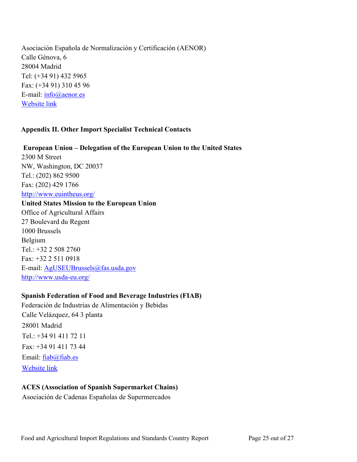Asociación Española de Normalización y Certificación (AENOR) Calle Génova, 6 28004 Madrid Tel: (+34 91) 432 5965 Fax: (+34 91) 310 45 96 E-mail: [info@aenor.es](mailto:info@aenor.es) [Website link](http://www.aenor.es/)

#### <span id="page-24-0"></span>**Appendix II. Other Import Specialist Technical Contacts**

**European Union – Delegation of the European Union to the United States** 2300 M Street NW, Washington, DC 20037 Tel.: (202) 862 9500 Fax: (202) 429 1766 <http://www.euintheus.org/> **United States Mission to the European Union** Office of Agricultural Affairs 27 Boulevard du Regent 1000 Brussels Belgium Tel.: +32 2 508 2760 Fax: +32 2 511 0918 E-mail: [AgUSEUBrussels@fas.usda.gov](mailto:AgUSEUBrussels@fas.usda.gov) <http://www.usda-eu.org/>

# **Spanish Federation of Food and Beverage Industries (FIAB)**

Federación de Industrias de Alimentación y Bebidas Calle Velázquez, 64 3 planta 28001 Madrid Tel.: +34 91 411 72 11 Fax: +34 91 411 73 44 Email: [fiab@fiab.es](mailto:fiab@fiab.es) [Website link](http://www.fiab.es/)

### **ACES (Association of Spanish Supermarket Chains)**

Asociación de Cadenas Españolas de Supermercados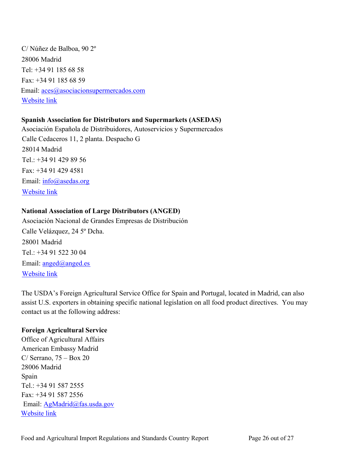C/ Núñez de Balboa, 90 2º 28006 Madrid Tel: +34 91 185 68 58 Fax: +34 91 185 68 59 Email: [aces@asociacionsupermercados.com](mailto:aces@asociacionsupermercados.com) [Website link](http://www.asociacionsupermercados.com/)

# **Spanish Association for Distributors and Supermarkets (ASEDAS)**

Asociación Española de Distribuidores, Autoservicios y Supermercados Calle Cedaceros 11, 2 planta. Despacho G 28014 Madrid Tel.: +34 91 429 89 56 Fax: +34 91 429 4581 Email: [info@asedas.org](mailto:info@asedas.org) [Website link](http://www.asedas.org/)

# **National Association of Large Distributors (ANGED)**

Asociación Nacional de Grandes Empresas de Distribución Calle Velázquez, 24 5º Dcha. 28001 Madrid Tel.: +34 91 522 30 04 Email: [anged@anged.es](mailto:anged@anged.es) [Website link](http://www.anged.es/)

The USDA's Foreign Agricultural Service Office for Spain and Portugal, located in Madrid, can also assist U.S. exporters in obtaining specific national legislation on all food product directives. You may contact us at the following address:

### **Foreign Agricultural Service**

Office of Agricultural Affairs American Embassy Madrid C/ Serrano,  $75 - Box 20$ 28006 Madrid Spain Tel.: +34 91 587 2555 Fax: +34 91 587 2556 Email: [AgMadrid@fas.usda.gov](mailto:AgMadrid@fas.usda.gov) [Website link](https://es.usembassy.gov/embassy-consulates/madrid/sections-offices/foreign-agriculture-service/)